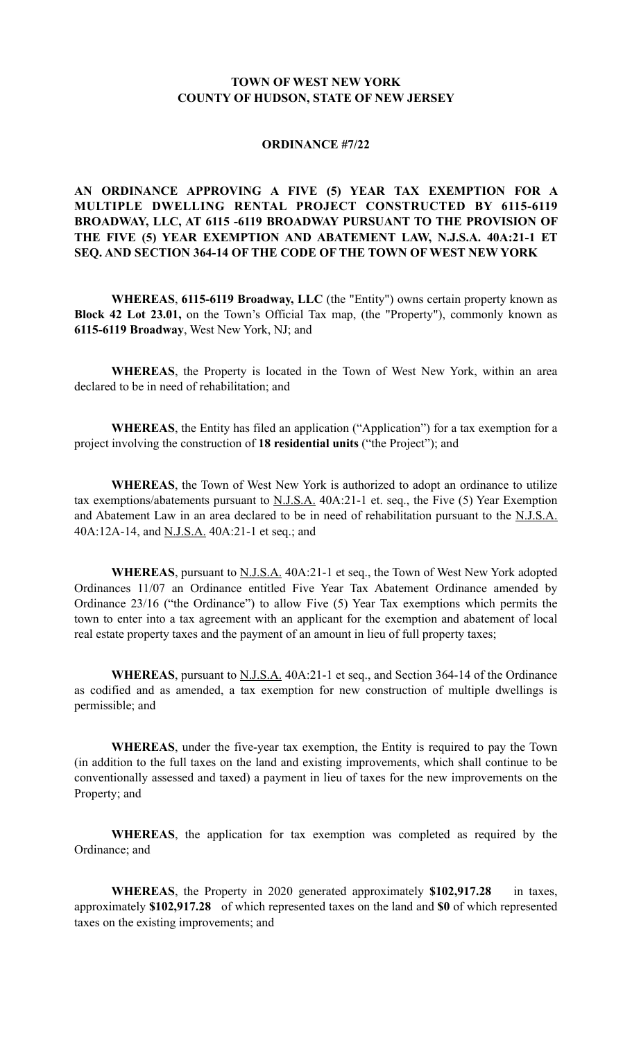## **TOWN OF WEST NEW YORK COUNTY OF HUDSON, STATE OF NEW JERSEY**

## **ORDINANCE #7/22**

## **AN ORDINANCE APPROVING A FIVE (5) YEAR TAX EXEMPTION FOR A MULTIPLE DWELLING RENTAL PROJECT CONSTRUCTED BY 6115-6119 BROADWAY, LLC, AT 6115 -6119 BROADWAY PURSUANT TO THE PROVISION OF THE FIVE (5) YEAR EXEMPTION AND ABATEMENT LAW, N.J.S.A. 40A:21-1 ET SEQ. AND SECTION 364-14 OF THE CODE OF THE TOWN OF WEST NEW YORK**

**WHEREAS**, **6115-6119 Broadway, LLC** (the "Entity") owns certain property known as **Block 42 Lot 23.01,** on the Town's Official Tax map, (the "Property"), commonly known as **6115-6119 Broadway**, West New York, NJ; and

**WHEREAS**, the Property is located in the Town of West New York, within an area declared to be in need of rehabilitation; and

**WHEREAS**, the Entity has filed an application ("Application") for a tax exemption for a project involving the construction of **18 residential units** ("the Project"); and

**WHEREAS**, the Town of West New York is authorized to adopt an ordinance to utilize tax exemptions/abatements pursuant to  $N.J.S.A.$  40A:21-1 et. seq., the Five (5) Year Exemption and Abatement Law in an area declared to be in need of rehabilitation pursuant to the N.J.S.A. 40A:12A-14, and N.J.S.A. 40A:21-1 et seq.; and

WHEREAS, pursuant to **N.J.S.A.** 40A:21-1 et seq., the Town of West New York adopted Ordinances 11/07 an Ordinance entitled Five Year Tax Abatement Ordinance amended by Ordinance 23/16 ("the Ordinance") to allow Five (5) Year Tax exemptions which permits the town to enter into a tax agreement with an applicant for the exemption and abatement of local real estate property taxes and the payment of an amount in lieu of full property taxes;

WHEREAS, pursuant to **N.J.S.A.** 40A:21-1 et seq., and Section 364-14 of the Ordinance as codified and as amended, a tax exemption for new construction of multiple dwellings is permissible; and

**WHEREAS**, under the five-year tax exemption, the Entity is required to pay the Town (in addition to the full taxes on the land and existing improvements, which shall continue to be conventionally assessed and taxed) a payment in lieu of taxes for the new improvements on the Property; and

**WHEREAS**, the application for tax exemption was completed as required by the Ordinance; and

**WHEREAS**, the Property in 2020 generated approximately **\$102,917.28** in taxes, approximately **\$102,917.28** of which represented taxes on the land and **\$0** of which represented taxes on the existing improvements; and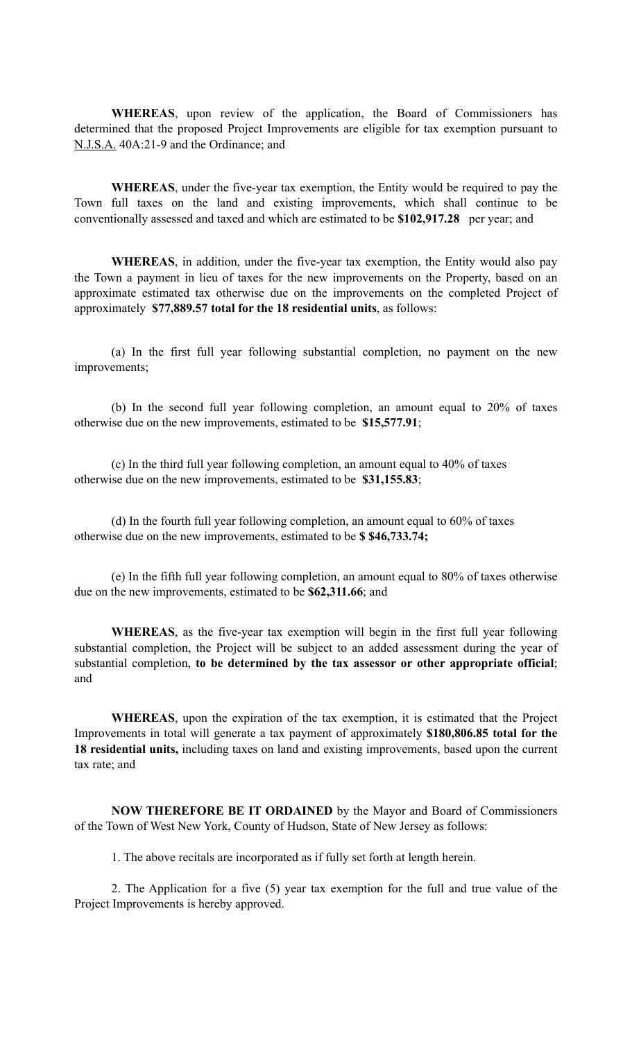**WHEREAS**, upon review of the application, the Board of Commissioners has determined that the proposed Project Improvements are eligible for tax exemption pursuant to N.J.S.A. 40A:21-9 and the Ordinance; and

**WHEREAS**, under the five-year tax exemption, the Entity would be required to pay the Town full taxes on the land and existing improvements, which shall continue to be conventionally assessed and taxed and which are estimated to be **\$102,917.28** per year; and

**WHEREAS**, in addition, under the five-year tax exemption, the Entity would also pay the Town a payment in lieu of taxes for the new improvements on the Property, based on an approximate estimated tax otherwise due on the improvements on the completed Project of approximately **\$77,889.57 total for the 18 residential units**, as follows:

(a) In the first full year following substantial completion, no payment on the new improvements;

(b) In the second full year following completion, an amount equal to 20% of taxes otherwise due on the new improvements, estimated to be **\$15,577.91**;

(c) In the third full year following completion, an amount equal to 40% of taxes otherwise due on the new improvements, estimated to be **\$31,155.83**;

(d) In the fourth full year following completion, an amount equal to 60% of taxes otherwise due on the new improvements, estimated to be **\$ \$46,733.74;** 

(e) In the fifth full year following completion, an amount equal to 80% of taxes otherwise due on the new improvements, estimated to be **\$62,311.66**; and

**WHEREAS**, as the five-year tax exemption will begin in the first full year following substantial completion, the Project will be subject to an added assessment during the year of substantial completion, **to be determined by the tax assessor or other appropriate official**; and

**WHEREAS**, upon the expiration of the tax exemption, it is estimated that the Project Improvements in total will generate a tax payment of approximately **\$180,806.85 total for the 18 residential units,** including taxes on land and existing improvements, based upon the current tax rate; and

**NOW THEREFORE BE IT ORDAINED** by the Mayor and Board of Commissioners of the Town of West New York, County of Hudson, State of New Jersey as follows:

1. The above recitals are incorporated as if fully set forth at length herein.

2. The Application for a five (5) year tax exemption for the full and true value of the Project Improvements is hereby approved.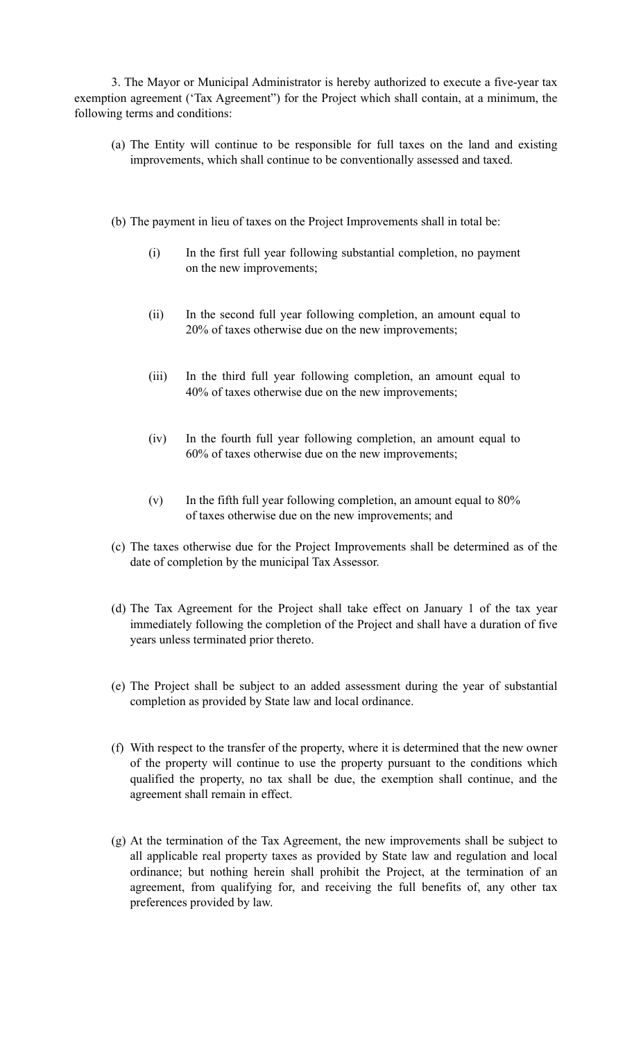3. The Mayor or Municipal Administrator is hereby authorized to execute a five-year tax exemption agreement ('Tax Agreement") for the Project which shall contain, at a minimum, the following terms and conditions:

- (a) The Entity will continue to be responsible for full taxes on the land and existing improvements, which shall continue to be conventionally assessed and taxed.
- (b) The payment in lieu of taxes on the Project Improvements shall in total be:
	- (i) In the first full year following substantial completion, no payment on the new improvements;
	- (ii) In the second full year following completion, an amount equal to 20% of taxes otherwise due on the new improvements;
	- (iii) In the third full year following completion, an amount equal to 40% of taxes otherwise due on the new improvements;
	- (iv) In the fourth full year following completion, an amount equal to 60% of taxes otherwise due on the new improvements;
	- (v) In the fifth full year following completion, an amount equal to 80% of taxes otherwise due on the new improvements; and
- (c) The taxes otherwise due for the Project Improvements shall be determined as of the date of completion by the municipal Tax Assessor.
- (d) The Tax Agreement for the Project shall take effect on January 1 of the tax year immediately following the completion of the Project and shall have a duration of five years unless terminated prior thereto.
- (e) The Project shall be subject to an added assessment during the year of substantial completion as provided by State law and local ordinance.
- (f) With respect to the transfer of the property, where it is determined that the new owner of the property will continue to use the property pursuant to the conditions which qualified the property, no tax shall be due, the exemption shall continue, and the agreement shall remain in effect.
- (g) At the termination of the Tax Agreement, the new improvements shall be subject to all applicable real property taxes as provided by State law and regulation and local ordinance; but nothing herein shall prohibit the Project, at the termination of an agreement, from qualifying for, and receiving the full benefits of, any other tax preferences provided by law.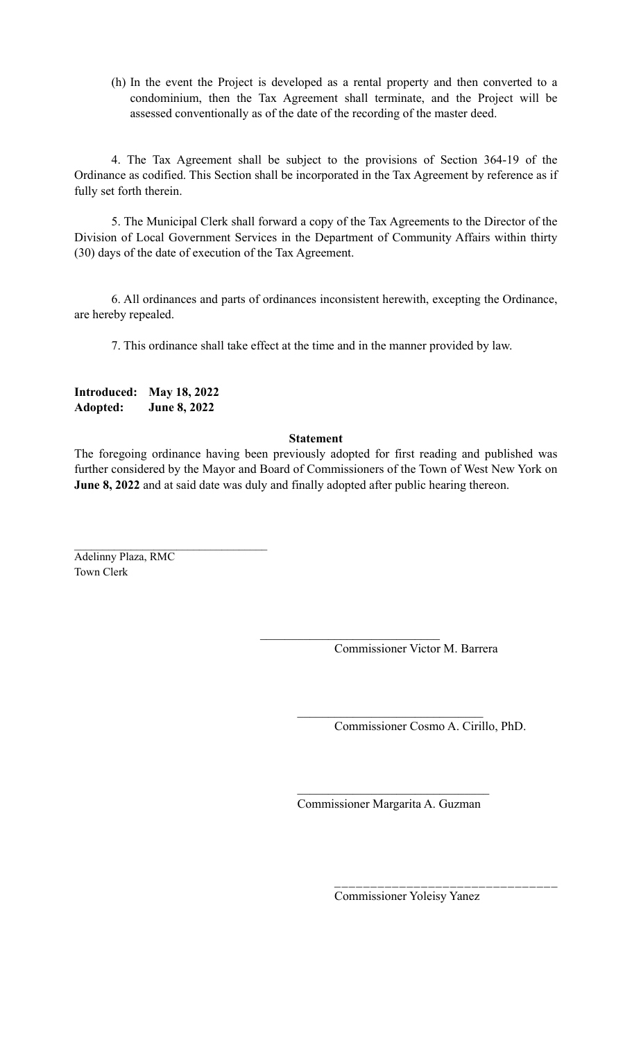(h) In the event the Project is developed as a rental property and then converted to a condominium, then the Tax Agreement shall terminate, and the Project will be assessed conventionally as of the date of the recording of the master deed.

4. The Tax Agreement shall be subject to the provisions of Section 364-19 of the Ordinance as codified. This Section shall be incorporated in the Tax Agreement by reference as if fully set forth therein.

5. The Municipal Clerk shall forward a copy of the Tax Agreements to the Director of the Division of Local Government Services in the Department of Community Affairs within thirty (30) days of the date of execution of the Tax Agreement.

6. All ordinances and parts of ordinances inconsistent herewith, excepting the Ordinance, are hereby repealed.

7. This ordinance shall take effect at the time and in the manner provided by law.

**Introduced: May 18, 2022 Adopted: June 8, 2022** 

## **Statement**

The foregoing ordinance having been previously adopted for first reading and published was further considered by the Mayor and Board of Commissioners of the Town of West New York on **June 8, 2022** and at said date was duly and finally adopted after public hearing thereon.

 $\mathcal{L}_\text{max}$ 

 $\mathcal{L}_\text{max}$  , where  $\mathcal{L}_\text{max}$  and  $\mathcal{L}_\text{max}$ Adelinny Plaza, RMC Town Clerk

Commissioner Victor M. Barrera

Commissioner Cosmo A. Cirillo, PhD.

 $\mathcal{L}_\text{max}$ Commissioner Margarita A. Guzman

 $\mathcal{L}_\text{max}$ 

Commissioner Yoleisy Yanez

 $\mathcal{L}_\text{max}$